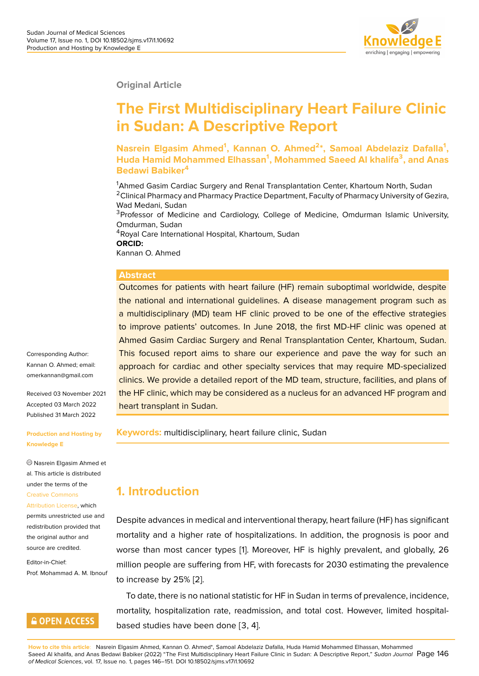

**Original Article**

# **The First Multidisciplinary Heart Failure Clinic in Sudan: A Descriptive Report**

**Nasrein Elgasim Ahmed<sup>1</sup> , Kannan O. Ahmed<sup>2</sup> \*, Samoal Abdelaziz Dafalla<sup>1</sup> , Huda Hamid Mohammed Elhassan<sup>1</sup> , Mohammed Saeed Al khalifa<sup>3</sup> , and Anas Bedawi Babiker<sup>4</sup>**

<sup>1</sup>Ahmed Gasim Cardiac Surgery and Renal Transplantation Center, Khartoum North, Sudan <sup>2</sup> Clinical Pharmacy and Pharmacy Practice Department, Faculty of Pharmacy University of Gezira, Wad Medani, Sudan <sup>3</sup>Professor of Medicine and Cardiology, College of Medicine, Omdurman Islamic University, Omdurman, Sudan <sup>4</sup>Royal Care International Hospital, Khartoum, Sudan

**ORCID:**

Kannan O. Ahmed

#### **Abstract**

Outcomes for patients with heart failure (HF) remain suboptimal worldwide, despite the national and international guidelines. A disease management program such as a multidisciplinary (MD) team HF clinic proved to be one of the effective strategies to improve patients' outcomes. In June 2018, the first MD-HF clinic was opened at Ahmed Gasim Cardiac Surgery and Renal Transplantation Center, Khartoum, Sudan. This focused report aims to share our experience and pave the way for such an approach for cardiac and other specialty services that may require MD-specialized clinics. We provide a detailed report of the MD team, structure, facilities, and plans of the HF clinic, which may be considered as a nucleus for an advanced HF program and heart transplant in Sudan.

**Keywords:** multidisciplinary, heart failure clinic, Sudan

# **1. Introduction**

Despite advances in medical and interventional therapy, heart failure (HF) has significant mortality and a higher rate of hospitalizations. In addition, the prognosis is poor and worse than most cancer types [1]. Moreover, HF is highly prevalent, and globally, 26 million people are suffering from HF, with forecasts for 2030 estimating the prevalence to increase by 25% [2].

To date, there is no national st[at](#page-5-0)istic for HF in Sudan in terms of prevalence, incidence, mortality, hospitalization rate, readmission, and total cost. However, limited hospitalbased studies have [be](#page-5-1)en done [3, 4].

Corresponding Author: Kannan O. Ahmed; email: omerkannan@gmail.com

Received 03 November 2021 Accepted 03 March 2022 [Published 31 March 2022](mailto:omerkannan@gmail.com)

#### **Production and Hosting by Knowledge E**

Nasrein Elgasim Ahmed et al. This article is distributed under the terms of the Creative Commons Attribution License, which permits unrestricted use and

```
redistribution provided that
the original author and
source are credited.
```
Editor-in-Chief: Prof. Mohammad A. M. Ibnouf

#### **GOPEN ACCESS**

**How to cite this article**: Nasrein Elgasim Ahmed, Kannan O. Ahmed\*, Samoal Abdelaziz Dafalla, Huda Hamid Mohammed Elhassan, Mohammed Saeed Al khalifa, and Anas Bedawi Babiker (2022) "The First Multidisciplinary Heart Failure Clinic in Sudan: A Descriptive Report," *Sudan Journal* Page 146 *of Medical Sciences*, vol. 17, Issue no. 1, pages 146–151. DOI 10.18502/sjms.v17i1.10692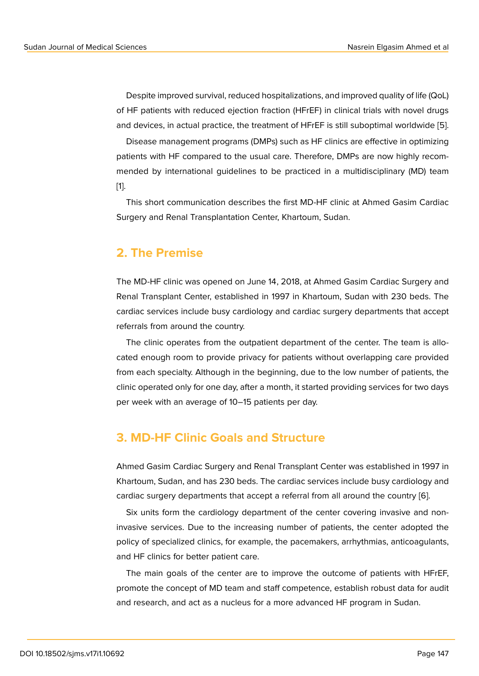Despite improved survival, reduced hospitalizations, and improved quality of life (QoL) of HF patients with reduced ejection fraction (HFrEF) in clinical trials with novel drugs and devices, in actual practice, the treatment of HFrEF is still suboptimal worldwide [5].

Disease management programs (DMPs) such as HF clinics are effective in optimizing patients with HF compared to the usual care. Therefore, DMPs are now highly recommended by international guidelines to be practiced in a multidisciplinary (MD) te[am](#page-5-2) [1].

This short communication describes the first MD-HF clinic at Ahmed Gasim Cardiac [S](#page-5-0)urgery and Renal Transplantation Center, Khartoum, Sudan.

#### **2. The Premise**

The MD-HF clinic was opened on June 14, 2018, at Ahmed Gasim Cardiac Surgery and Renal Transplant Center, established in 1997 in Khartoum, Sudan with 230 beds. The cardiac services include busy cardiology and cardiac surgery departments that accept referrals from around the country.

The clinic operates from the outpatient department of the center. The team is allocated enough room to provide privacy for patients without overlapping care provided from each specialty. Although in the beginning, due to the low number of patients, the clinic operated only for one day, after a month, it started providing services for two days per week with an average of 10–15 patients per day.

#### **3. MD-HF Clinic Goals and Structure**

Ahmed Gasim Cardiac Surgery and Renal Transplant Center was established in 1997 in Khartoum, Sudan, and has 230 beds. The cardiac services include busy cardiology and cardiac surgery departments that accept a referral from all around the country [6].

Six units form the cardiology department of the center covering invasive and noninvasive services. Due to the increasing number of patients, the center adopted the policy of specialized clinics, for example, the pacemakers, arrhythmias, anticoa[gu](#page-5-3)lants, and HF clinics for better patient care.

The main goals of the center are to improve the outcome of patients with HFrEF, promote the concept of MD team and staff competence, establish robust data for audit and research, and act as a nucleus for a more advanced HF program in Sudan.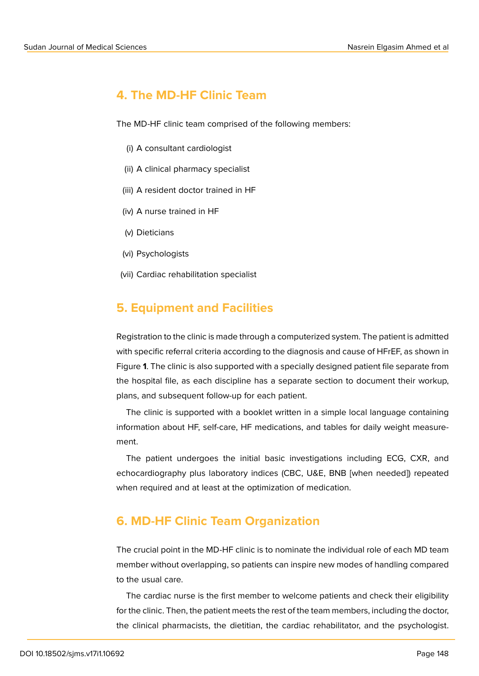#### **4. The MD-HF Clinic Team**

The MD-HF clinic team comprised of the following members:

- (i) A consultant cardiologist
- (ii) A clinical pharmacy specialist
- (iii) A resident doctor trained in HF
- (iv) A nurse trained in HF
- (v) Dieticians
- (vi) Psychologists
- (vii) Cardiac rehabilitation specialist

#### **5. Equipment and Facilities**

Registration to the clinic is made through a computerized system. The patient is admitted with specific referral criteria according to the diagnosis and cause of HFrEF, as shown in Figure **1**. The clinic is also supported with a specially designed patient file separate from the hospital file, as each discipline has a separate section to document their workup, plans, and subsequent follow-up for each patient.

The [c](#page-3-0)linic is supported with a booklet written in a simple local language containing information about HF, self-care, HF medications, and tables for daily weight measurement.

The patient undergoes the initial basic investigations including ECG, CXR, and echocardiography plus laboratory indices (CBC, U&E, BNB [when needed]) repeated when required and at least at the optimization of medication.

#### **6. MD-HF Clinic Team Organization**

The crucial point in the MD-HF clinic is to nominate the individual role of each MD team member without overlapping, so patients can inspire new modes of handling compared to the usual care.

The cardiac nurse is the first member to welcome patients and check their eligibility for the clinic. Then, the patient meets the rest of the team members, including the doctor, the clinical pharmacists, the dietitian, the cardiac rehabilitator, and the psychologist.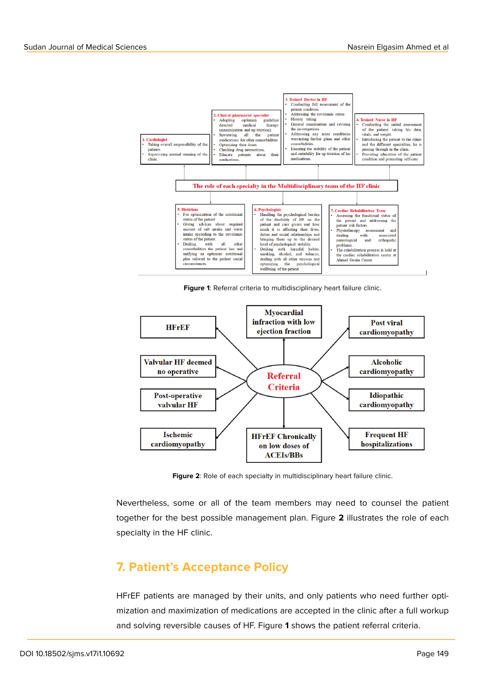

<span id="page-3-0"></span>**Figure 1**: Referral criteria to multidisciplinary heart failure clinic.



Figure 2: Role of each specialty in multidisciplinary heart failure clinic.

Nevertheless, some or all of the team members may need to counsel the patient together for the best possible management plan. Figure **2** illustrates the role of each specialty in the HF clinic.

#### **7. Patient's Acceptance Policy**

HFrEF patients are managed by their units, and only patients who need further optimization and maximization of medications are accepted in the clinic after a full workup and solving reversible causes of HF. Figure **1** shows the patient referral criteria.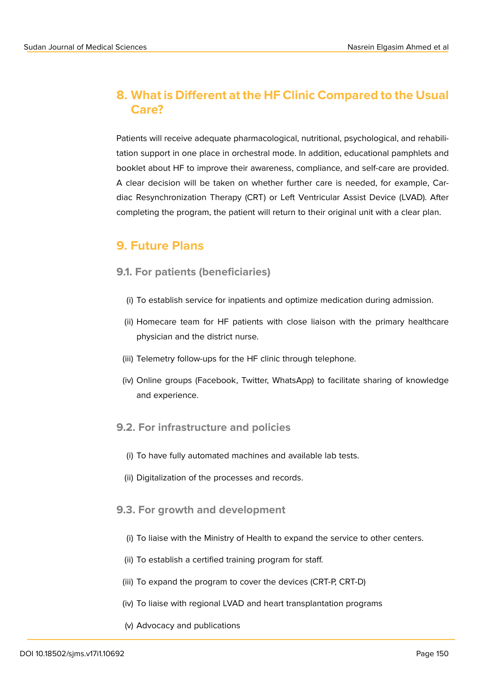# **8. What is Different at the HF Clinic Compared to the Usual Care?**

Patients will receive adequate pharmacological, nutritional, psychological, and rehabilitation support in one place in orchestral mode. In addition, educational pamphlets and booklet about HF to improve their awareness, compliance, and self-care are provided. A clear decision will be taken on whether further care is needed, for example, Cardiac Resynchronization Therapy (CRT) or Left Ventricular Assist Device (LVAD). After completing the program, the patient will return to their original unit with a clear plan.

# **9. Future Plans**

#### **9.1. For patients (beneficiaries)**

- (i) To establish service for inpatients and optimize medication during admission.
- (ii) Homecare team for HF patients with close liaison with the primary healthcare physician and the district nurse.
- (iii) Telemetry follow-ups for the HF clinic through telephone.
- (iv) Online groups (Facebook, Twitter, WhatsApp) to facilitate sharing of knowledge and experience.

#### **9.2. For infrastructure and policies**

- (i) To have fully automated machines and available lab tests.
- (ii) Digitalization of the processes and records.

#### **9.3. For growth and development**

- (i) To liaise with the Ministry of Health to expand the service to other centers.
- (ii) To establish a certified training program for staff.
- (iii) To expand the program to cover the devices (CRT-P, CRT-D)
- (iv) To liaise with regional LVAD and heart transplantation programs
- (v) Advocacy and publications